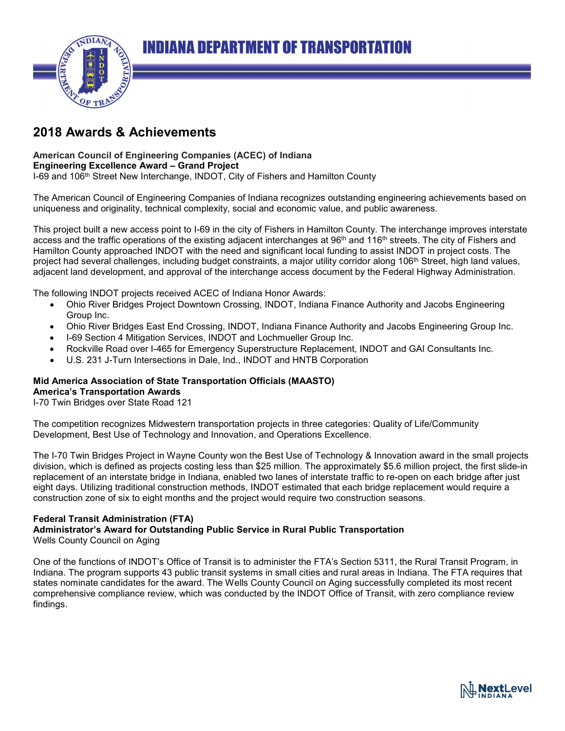

# **2018 Awards & Achievements**

#### **American Council of Engineering Companies (ACEC) of Indiana Engineering Excellence Award – Grand Project**

I-69 and 106th Street New Interchange, INDOT, City of Fishers and Hamilton County

The American Council of Engineering Companies of Indiana recognizes outstanding engineering achievements based on uniqueness and originality, technical complexity, social and economic value, and public awareness.

This project built a new access point to I-69 in the city of Fishers in Hamilton County. The interchange improves interstate access and the traffic operations of the existing adjacent interchanges at 96<sup>th</sup> and 116<sup>th</sup> streets. The city of Fishers and Hamilton County approached INDOT with the need and significant local funding to assist INDOT in project costs. The project had several challenges, including budget constraints, a major utility corridor along 106<sup>th</sup> Street, high land values, adjacent land development, and approval of the interchange access document by the Federal Highway Administration.

The following INDOT projects received ACEC of Indiana Honor Awards:

- Ohio River Bridges Project Downtown Crossing, INDOT, Indiana Finance Authority and Jacobs Engineering Group Inc.
- Ohio River Bridges East End Crossing, INDOT, Indiana Finance Authority and Jacobs Engineering Group Inc.
- I-69 Section 4 Mitigation Services, INDOT and Lochmueller Group Inc.
- Rockville Road over I-465 for Emergency Superstructure Replacement, INDOT and GAI Consultants Inc.
- U.S. 231 J-Turn Intersections in Dale, Ind., INDOT and HNTB Corporation

### **Mid America Association of State Transportation Officials (MAASTO)**

#### **America's Transportation Awards**

I-70 Twin Bridges over State Road 121

The competition recognizes Midwestern transportation projects in three categories: Quality of Life/Community Development, Best Use of Technology and Innovation, and Operations Excellence.

The I-70 Twin Bridges Project in Wayne County won the Best Use of Technology & Innovation award in the small projects division, which is defined as projects costing less than \$25 million. The approximately \$5.6 million project, the first slide-in replacement of an interstate bridge in Indiana, enabled two lanes of interstate traffic to re-open on each bridge after just eight days. Utilizing traditional construction methods, INDOT estimated that each bridge replacement would require a construction zone of six to eight months and the project would require two construction seasons.

### **Federal Transit Administration (FTA)**

#### **Administrator's Award for Outstanding Public Service in Rural Public Transportation** Wells County Council on Aging

One of the functions of INDOT's Office of Transit is to administer the FTA's Section 5311, the Rural Transit Program, in Indiana. The program supports 43 public transit systems in small cities and rural areas in Indiana. The FTA requires that states nominate candidates for the award. The Wells County Council on Aging successfully completed its most recent comprehensive compliance review, which was conducted by the INDOT Office of Transit, with zero compliance review findings.